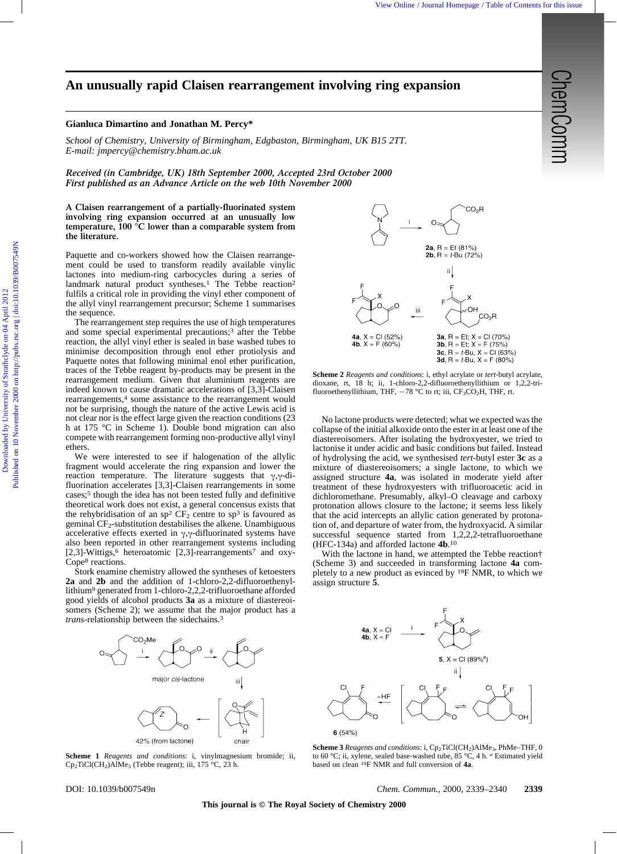## **An unusually rapid Claisen rearrangement involving ring expansion**

## **Gianluca Dimartino and Jonathan M. Percy\***

*School of Chemistry, University of Birmingham, Edgbaston, Birmingham, UK B15 2TT. E-mail: jmpercy@chemistry.bham.ac.uk*

*Received (in Cambridge, UK) 18th September 2000, Accepted 23rd October 2000 First published as an Advance Article on the web 10th November 2000*

**A Claisen rearrangement of a partially-fluorinated system involving ring expansion occurred at an unusually low temperature, 100 °C lower than a comparable system from the literature.**

Paquette and co-workers showed how the Claisen rearrangement could be used to transform readily available vinylic lactones into medium-ring carbocycles during a series of landmark natural product syntheses.<sup>1</sup> The Tebbe reaction<sup>2</sup> fulfils a critical role in providing the vinyl ether component of the allyl vinyl rearrangement precursor; Scheme 1 summarises the sequence.

The rearrangement step requires the use of high temperatures and some special experimental precautions;3 after the Tebbe reaction, the allyl vinyl ether is sealed in base washed tubes to minimise decomposition through enol ether protiolysis and Paquette notes that following minimal enol ether purification, traces of the Tebbe reagent by-products may be present in the rearrangement medium. Given that aluminium reagents are indeed known to cause dramatic accelerations of [3,3]-Claisen rearrangements,4 some assistance to the rearrangement would not be surprising, though the nature of the active Lewis acid is not clear nor is the effect large given the reaction conditions (23 h at 175 °C in Scheme 1). Double bond migration can also compete with rearrangement forming non-productive allyl vinyl ethers. **An unusually rapid Claisen rearrangement involving ring expansion**  $\frac{1}{2}$ **<br>
Strong of Commitry, Deirection of Demonstration on European Committee on the Committee of Committee on the Committee of Committee on the Commit** 

We were interested to see if halogenation of the allylic fragment would accelerate the ring expansion and lower the reaction temperature. The literature suggests that  $\gamma$ , $\gamma$ -difluorination accelerates [3,3]-Claisen rearrangements in some cases;5 though the idea has not been tested fully and definitive theoretical work does not exist, a general concensus exists that the rehybridisation of an sp<sup>2</sup>  $CF_2$  centre to sp<sup>3</sup> is favoured as geminal CF2-substitution destabilises the alkene. Unambiguous accelerative effects exerted in  $\gamma$ , $\gamma$ -difluorinated systems have also been reported in other rearrangement systems including [2,3]-Wittigs,<sup>6</sup> heteroatomic [2,3]-rearrangements<sup>7</sup> and oxy-Cope8 reactions.

Stork enamine chemistry allowed the syntheses of ketoesters **2a** and **2b** and the addition of 1-chloro-2,2-difluoroethenyllithium9 generated from 1-chloro-2,2,2-trifluoroethane afforded good yields of alcohol products **3a** as a mixture of diastereoisomers (Scheme 2); we assume that the major product has a *trans*-relationship between the sidechains.3



**Scheme 1** *Reagents and conditions*: i, vinylmagnesium bromide; ii,  $Cp_2TiCl(CH_2)AlMe_3$  (Tebbe reagent); iii, 175 °C, 23 h.



**Scheme 2** *Reagents and conditions*: i, ethyl acrylate or *tert*-butyl acrylate, dioxane, rt, 18 h; ii, 1-chloro-2,2-difluoroethenyllithium or 1,2,2-trifluoroethenyllithium, THF,  $-78$  °C to rt; iii, CF<sub>3</sub>CO<sub>2</sub>H, THF, rt.

No lactone products were detected; what we expected was the collapse of the initial alkoxide onto the ester in at least one of the diastereoisomers. After isolating the hydroxyester, we tried to lactonise it under acidic and basic conditions but failed. Instead of hydrolysing the acid, we synthesised *tert*-butyl ester **3c** as a mixture of diastereoisomers; a single lactone, to which we assigned structure **4a**, was isolated in moderate yield after treatment of these hydroxyesters with trifluoroacetic acid in dichloromethane. Presumably, alkyl–O cleavage and carboxy protonation allows closure to the lactone; it seems less likely that the acid intercepts an allylic cation generated by protonation of, and departure of water from, the hydroxyacid. A similar successful sequence started from 1,2,2,2-tetrafluoroethane (HFC-134a) and afforded lactone **4b**.10

With the lactone in hand, we attempted the Tebbe reaction† (Scheme 3) and succeeded in transforming lactone **4a** completely to a new product as evinced by 19F NMR, to which we assign structure **5**.



**Scheme 3** Reagents and conditions: i, Cp<sub>2</sub>TiCl(CH<sub>2</sub>)AlMe<sub>3</sub>, PhMe–THF, 0 to 60 °C; ii, xylene, sealed base-washed tube, 85 °C, 4 h. *a* Estimated yield based on clean 19F NMR and full conversion of **4a**.